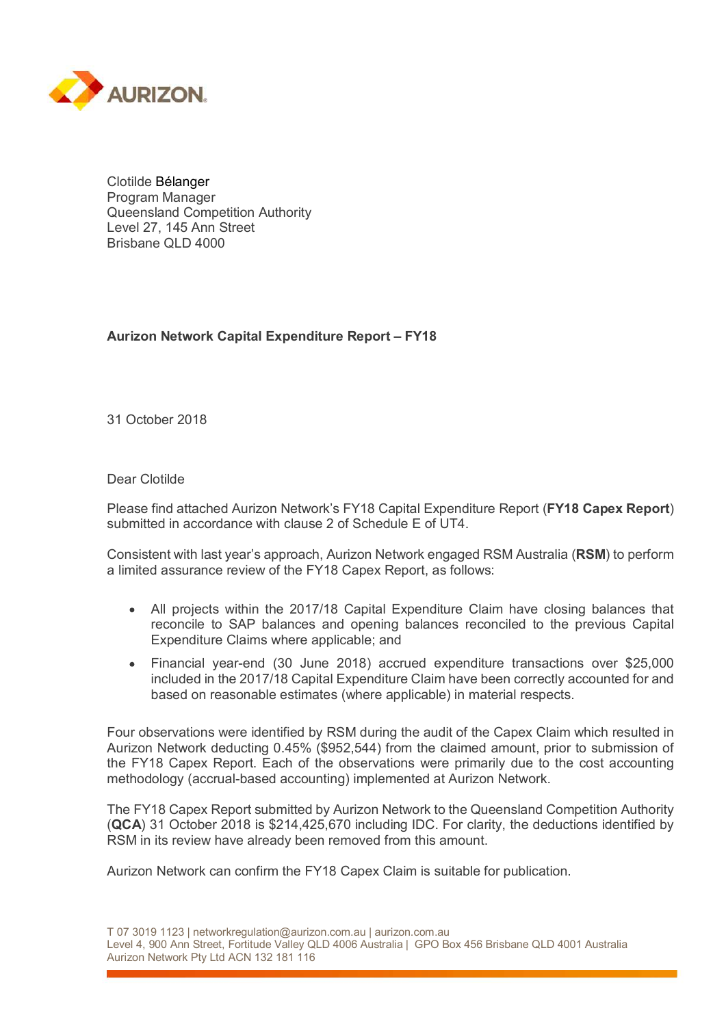

Clotilde Bélanger Program Manager Queensland Competition Authority Level 27, 145 Ann Street Brisbane QLD 4000

## Aurizon Network Capital Expenditure Report – FY18

31 October 2018

## Dear Clotilde

Please find attached Aurizon Network's FY18 Capital Expenditure Report (FY18 Capex Report) submitted in accordance with clause 2 of Schedule E of UT4.

Consistent with last year's approach, Aurizon Network engaged RSM Australia (RSM) to perform a limited assurance review of the FY18 Capex Report, as follows:

- All projects within the 2017/18 Capital Expenditure Claim have closing balances that  $\bullet$ reconcile to SAP balances and opening balances reconciled to the previous Capital Expenditure Claims where applicable; and
- Financial year-end (30 June 2018) accrued expenditure transactions over \$25,000  $\bullet$ included in the 2017/18 Capital Expenditure Claim have been correctly accounted for and based on reasonable estimates (where applicable) in material respects.

Four observations were identified by RSM during the audit of the Capex Claim which resulted in Aurizon Network deducting 0.45% (\$952,544) from the claimed amount, prior to submission of the FY18 Capex Report. Each of the observations were primarily due to the cost accounting methodology (accrual-based accounting) implemented at Aurizon Network.

The FY18 Capex Report submitted by Aurizon Network to the Queensland Competition Authority (QCA) 31 October 2018 is \$214,425,670 including IDC. For clarity, the deductions identified by RSM in its review have already been removed from this amount.

Aurizon Network can confirm the FY18 Capex Claim is suitable for publication.